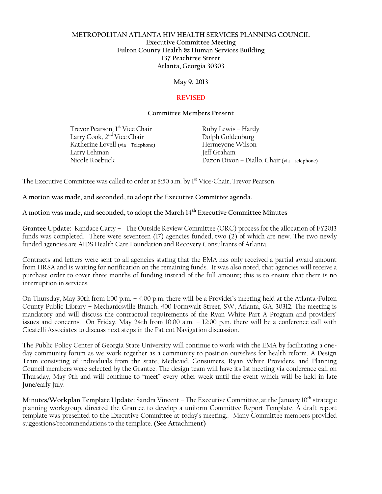## **METROPOLITAN ATLANTA HIV HEALTH SERVICES PLANNING COUNCIL Executive Committee Meeting Fulton County Health & Human Services Building 137 Peachtree Street Atlanta, Georgia 30303**

**May 9, 2013**

## **REVISED**

#### **Committee Members Present**

Trevor Pearson, 1<sup>st</sup> Vice Chair Ruby Lewis – Hardy Larry Cook, 2<sup>nd</sup> Vice Chair Dolph Goldenburg Katherine Lovell **(via – Telephone)** Hermeyone Wilson Larry Lehman Jeff Graham

Nicole Roebuck Dazon Dixon – Diallo, Chair **(via – telephone)**

The Executive Committee was called to order at 8:50 a.m. by 1<sup>st</sup> Vice-Chair, Trevor Pearson.

**A motion was made, and seconded, to adopt the Executive Committee agenda.**

**A motion was made, and seconded, to adopt the March 14th Executive Committee Minutes** 

**Grantee Update:** Kandace Carty –The Outside Review Committee (ORC) process for the allocation of FY2013 funds was completed. There were seventeen (17) agencies funded, two (2) of which are new. The two newly funded agencies are AIDS Health Care Foundation and Recovery Consultants of Atlanta.

Contracts and letters were sent to all agencies stating that the EMA has only received a partial award amount from HRSA and is waiting for notification on the remaining funds. It was also noted, that agencies will receive a purchase order to cover three months of funding instead of the full amount; this is to ensure that there is no interruption in services.

On Thursday, May 30th from 1:00 p.m. – 4:00 p.m. there will be a Provider's meeting held at the Atlanta-Fulton County Public Library – Mechanicsville Branch, 400 Formwalt Street, SW, Atlanta, GA, 30312. The meeting is mandatory and will discuss the contractual requirements of the Ryan White Part A Program and providers' issues and concerns. On Friday, May 24th from 10:00 a.m. – 12:00 p.m. there will be a conference call with Cicatelli Associates to discuss next steps in the Patient Navigation discussion.

The Public Policy Center of Georgia State University will continue to work with the EMA by facilitating a oneday community forum as we work together as a community to position ourselves for health reform. A Design Team consisting of individuals from the state, Medicaid, Consumers, Ryan White Providers, and Planning Council members were selected by the Grantee. The design team will have its 1st meeting via conference call on Thursday, May 9th and will continue to "meet" every other week until the event which will be held in late June/early July.

**Minutes/Workplan Template Update:** Sandra Vincent – The Executive Committee, at the January 10<sup>th</sup> strategic planning workgroup, directed the Grantee to develop a uniform Committee Report Template. A draft report template was presented to the Executive Committee at today's meeting.. Many Committee members provided suggestions/recommendations to the template**. (See Attachment)**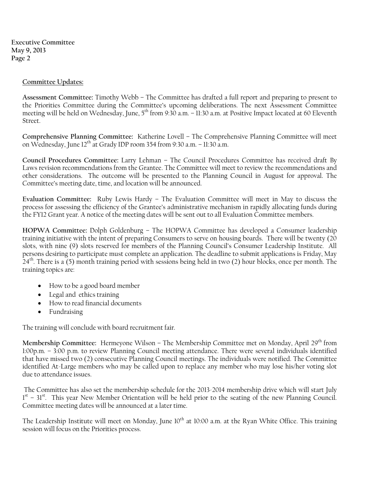**Executive Committee May 9, 2013 Page 2** 

#### **Committee Updates:**

**Assessment Committee:** Timothy Webb – The Committee has drafted a full report and preparing to present to the Priorities Committee during the Committee's upcoming deliberations. The next Assessment Committee meeting will be held on Wednesday, June, 5<sup>th</sup> from 9:30 a.m. – 11:30 a.m. at Positive Impact located at 60 Eleventh Street.

**Comprehensive Planning Committee:** Katherine Lovell – The Comprehensive Planning Committee will meet on Wednesday, June 12<sup>th</sup> at Grady IDP room 354 from 9:30 a.m. – 11:30 a.m.

**Council Procedures Committee:** Larry Lehman – The Council Procedures Committee has received draft By Laws revision recommendations from the Grantee. The Committee will meet to review the recommendations and other considerations. The outcome will be presented to the Planning Council in August for approval. The Committee's meeting date, time, and location will be announced.

**Evaluation Committee:** Ruby Lewis Hardy – The Evaluation Committee will meet in May to discuss the process for assessing the efficiency of the Grantee's administrative mechanism in rapidly allocating funds during the FY12 Grant year. A notice of the meeting dates will be sent out to all Evaluation Committee members.

**HOPWA Committee:** Dolph Goldenburg – The HOPWA Committee has developed a Consumer leadership training initiative with the intent of preparing Consumers to serve on housing boards. There will be twenty (20 slots, with nine (9) slots reserved for members of the Planning Council's Consumer Leadership Institute. All persons desiring to participate must complete an application. The deadline to submit applications is Friday, May 24<sup>th</sup>. There is a (5) month training period with sessions being held in two (2) hour blocks, once per month. The training topics are:

- How to be a good board member
- Legal and ethics training
- How to read financial documents
- Fundraising

The training will conclude with board recruitment fair.

**Membership Committee:** Hermeyone Wilson – The Membership Committee met on Monday, April 29<sup>th</sup> from 1:00p.m. – 3:00 p.m. to review Planning Council meeting attendance. There were several individuals identified that have missed two (2) consecutive Planning Council meetings. The individuals were notified. The Committee identified At-Large members who may be called upon to replace any member who may lose his/her voting slot due to attendance issues.

The Committee has also set the membership schedule for the 2013-2014 membership drive which will start July 1<sup>st</sup> - 31<sup>st</sup>. This year New Member Orientation will be held prior to the seating of the new Planning Council. Committee meeting dates will be announced at a later time.

The Leadership Institute will meet on Monday, June 10<sup>th</sup> at 10:00 a.m. at the Ryan White Office. This training session will focus on the Priorities process.